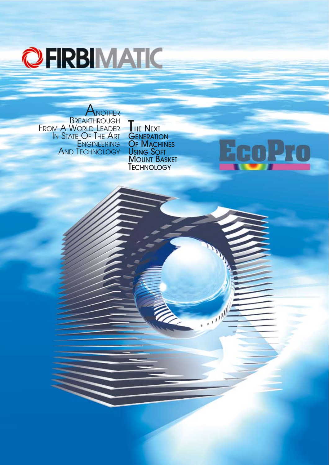

**ANOTHER BREAKTHROUGH** Fro<u>m A World L</u>eader In State\_Of The Art **ENGINEERING** AND TECHNOLOGY

**HE NEXT GENERATION OF MACHINES** USING SOFT **MOUNT BASKET TECHNOLOGY** 

**EcoPro** 

 $(1, 1)$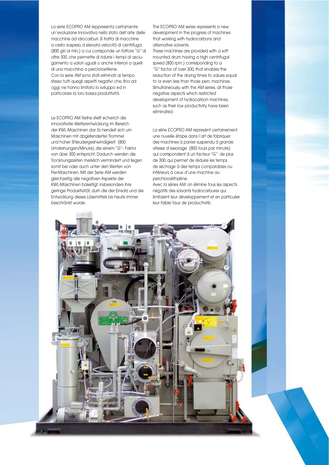La serie ECOPRO AM reppresenta certamente un'evoluzione innovativa nello stato dell'arte delle macchine ad idrocarburi. Si tratta di macchine a cesto sospeso d elevata velocità di centrifuga (800 giri al min,) a cui corrisponde un fattore "G" di oltre 300. che permette di ridurre i tempi di asciugamento a valori uguali o anche inferiori a quelli di una macchina a percloroetilene. Con la serie AM sono stati eliminati al tempo stesso tutti quegli aspetti negativi che, fino ad oggi, ne hanno limitato lo sviluppo ed in particolare la loro bassa produttività.

Le ECOPRO AM Reihe stellt sicherich die innovativste Weiterentwicklung im Bereich der KWL-Maschinen dar. Es hendelt sich um Maschinen mit abgefenderter Trommel und hoher Shleudergeshwindigkeit (800 Umdrehungen/Minute), die einem "G"- Faktor von über 300 entspricht. Dadurch werden die Trocknungszeiten merklich vermindert und liegen somit bei oder auch unter den Werten von Per-Maschinen. Mit der Serie AM werden gleichzeitig alle negativen Aspekte der KWL-Maschinen baseitigt, insbesonders ihre geringe Produktivität, durh die der Einsatz und die Entwicklung dieses Lösemittels bis heute immer beschränkt wurde.

The ECOPRO AM series represents a new development in the progress of machines that working with hydrocarbons and alternative solvents.

These machines are provided with a soft mounted drum having a high centrifugal speed (800 rpm.) corresponding to a "G" factor of over 300, that enables the reduction of the drying times to values equal to or even less than those perc machines. Simultaneously, with the AM series, all those negative aspects which restricted development of hydrocarbon machines, such as their low productivity, have been eliminated.

La série ECOPRO AM represént certainement une nuvelle étape dans l'art de fabriquer des machines à panier suspendu à grande vitesse d'essorage (800 tours par minute) qui corrispondent à un facteur "G" de plus de 300, qui permet de réduire les temps de séchage à des temps comparables ou inférieurs à ceux d'une machine au perchloroéthylène.

Avec la sèries AM. on élimine tous les aspects négatifs des solvants hydrocarbures qui limitaient leur développement et en particulier leur faible taux de productivité.

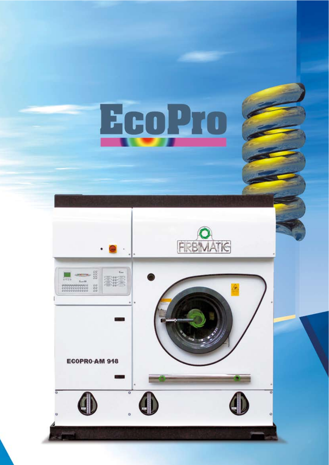